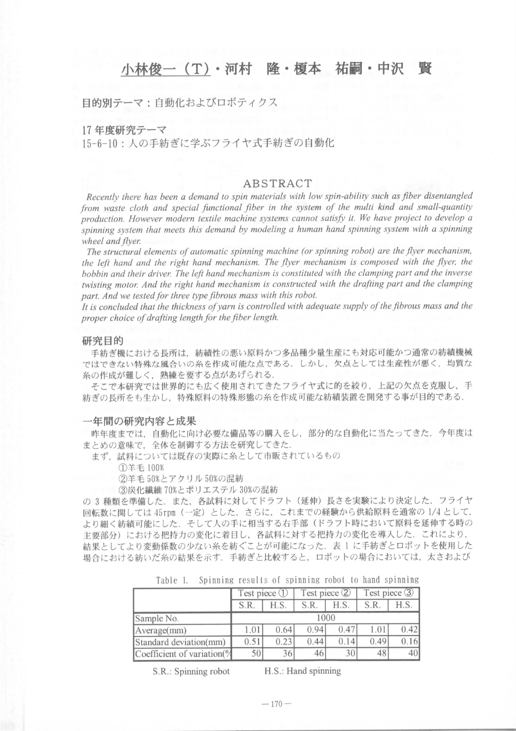# 小林俊一(T)・河村 隆・榎本 祐嗣・中沢 賢

目的別テーマ:自動化およびロボテイクス

17年度研究テーマ

15-6-10: 人の手紡ぎに学ぶフライヤ式手紡ぎの自動化

## ABSTRACT

Recently there has been a demand to spin materials with low spin-ability such as fiber disentangled from waste cloth and special functional fiber in the system of the multi kind and small-quantity production. However modern textile machine systems cannot satisfy it. We have project to develop a spinning system that meets this demand by modeling a human hand spinning system with a spinning wheel and flyer.

The structural elements of automatic spinning machine (or spinning robot) are the flyer mechanism, the left hand and the right hand mechanism. The flyer mechanism is composed with the flyer, the bobbin and their driver. The left hand mechanism is constituted with the clamping part and the inverse twisting motor. And the right hand mechanism is constructed with the drafting part and the clamping part. And we tested for three type fibrous mass with this robot.

It is concluded that the thickness of varn is controlled with adequate supply of the fibrous mass and the proper choice of drafting length for the fiber length.

### 研究目的

手紡ぎ機における長所は、紡績性の悪い原料かつ多品種少量生産にも対応可能かつ通常の紡績機械 ではできない特殊な風合いの糸を作成可能な点である.しかし,欠点としては生産性が悪く,均質な 糸の作成が難しく,熟練を要する点があげられる.

そこで本研究では世界的にも広く使用されてきたフライヤ式に的を絞り、上記の欠点を克服し、手 紡ぎの長所をも生かし,特殊原料の特殊形態の糸を作成可能な紡績装置を開発する事が目的である,

#### 一年間の研究内容と成果

昨年度までは、自動化に向け必要な備品等の購入をし、部分的な自動化に当たってきた. 今年度は まとめの意味で、全体を制御する方法を研究してきた.

まず、試料については既存の実際に糸として市販されているもの

(∋羊毛100%

②羊毛50%とアクリル50%の混紡

③炭化繊維70%とポリエステル30%の混紡

の 3 種類を準備した. また、各試料に対してドラフト(延伸)長さを実験により決定した. フライヤ 回転数に関しては45rpm (一定)とした.さらに,これまでの経験から供給原料を通常の1/4として, より細く紡績可能にした.そして人の手に相当する右手部(ドラフト時において原料を延伸する時の 主要部分)における把持力の変化に着目し、各試料に対する把持力の変化を導入した.これにより, 結果としてより変動係数の少ない糸を紡ぐことが可能になった. 表 1 に手紡ぎとロボットを使用した 場合における紡いだ糸の結果を示す. 手紡ぎと比較すると、ロボットの場合においては、太さおよび

|                             | Test piece 1 |      | Test piece 2 |      | Test piece 3 |      |
|-----------------------------|--------------|------|--------------|------|--------------|------|
|                             | S.R.         | H.S. | S.R.         | H.S. | S.R.         | H.S. |
| Sample No.                  | 1000         |      |              |      |              |      |
| Average(mm)                 | 1.01         | 0.64 | 0.94         | 0.47 | 1.01         | 0.42 |
| Standard deviation(mm)      | 0.51         | 0.23 | 0.44         | 0.14 | 0.49         |      |
| Coefficient of variation(%) | 50           |      |              | 30   |              |      |

Table 1. Spinning results of spinning robot to hand spinning

S.R.: Spinning robot H.S.: Hand spinning